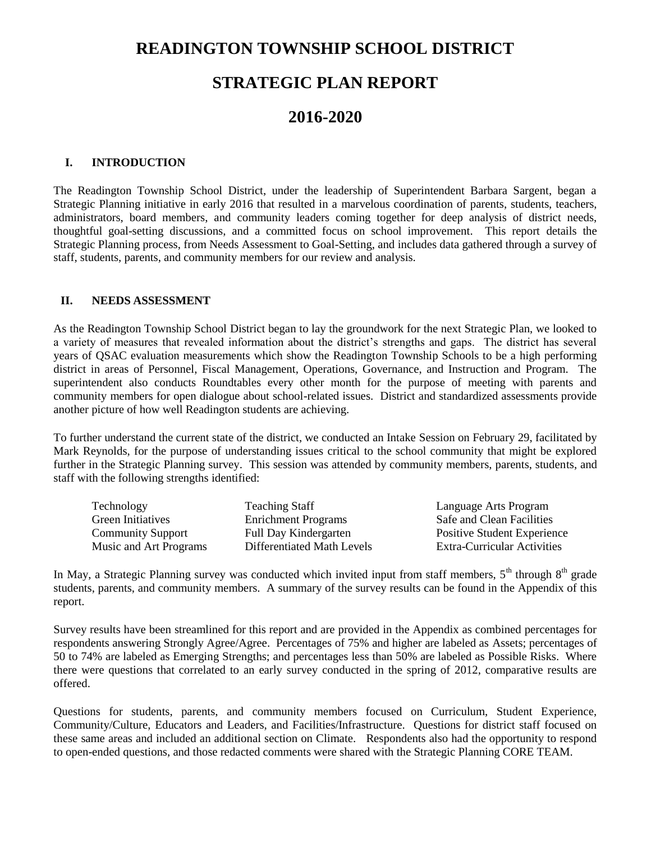### **READINGTON TOWNSHIP SCHOOL DISTRICT**

## **STRATEGIC PLAN REPORT**

### **2016-2020**

#### **I. INTRODUCTION**

The Readington Township School District, under the leadership of Superintendent Barbara Sargent, began a Strategic Planning initiative in early 2016 that resulted in a marvelous coordination of parents, students, teachers, administrators, board members, and community leaders coming together for deep analysis of district needs, thoughtful goal-setting discussions, and a committed focus on school improvement. This report details the Strategic Planning process, from Needs Assessment to Goal-Setting, and includes data gathered through a survey of staff, students, parents, and community members for our review and analysis.

#### **II. NEEDS ASSESSMENT**

As the Readington Township School District began to lay the groundwork for the next Strategic Plan, we looked to a variety of measures that revealed information about the district's strengths and gaps. The district has several years of QSAC evaluation measurements which show the Readington Township Schools to be a high performing district in areas of Personnel, Fiscal Management, Operations, Governance, and Instruction and Program. The superintendent also conducts Roundtables every other month for the purpose of meeting with parents and community members for open dialogue about school-related issues. District and standardized assessments provide another picture of how well Readington students are achieving.

To further understand the current state of the district, we conducted an Intake Session on February 29, facilitated by Mark Reynolds, for the purpose of understanding issues critical to the school community that might be explored further in the Strategic Planning survey. This session was attended by community members, parents, students, and staff with the following strengths identified:

| <b>Teaching Staff</b>      | Language Arts Program              |
|----------------------------|------------------------------------|
| <b>Enrichment Programs</b> | Safe and Clean Facilities          |
| Full Day Kindergarten      | <b>Positive Student Experience</b> |
| Differentiated Math Levels | <b>Extra-Curricular Activities</b> |
|                            |                                    |

In May, a Strategic Planning survey was conducted which invited input from staff members,  $5<sup>th</sup>$  through  $8<sup>th</sup>$  grade students, parents, and community members. A summary of the survey results can be found in the Appendix of this report.

Survey results have been streamlined for this report and are provided in the Appendix as combined percentages for respondents answering Strongly Agree/Agree. Percentages of 75% and higher are labeled as Assets; percentages of 50 to 74% are labeled as Emerging Strengths; and percentages less than 50% are labeled as Possible Risks. Where there were questions that correlated to an early survey conducted in the spring of 2012, comparative results are offered.

Questions for students, parents, and community members focused on Curriculum, Student Experience, Community/Culture, Educators and Leaders, and Facilities/Infrastructure. Questions for district staff focused on these same areas and included an additional section on Climate. Respondents also had the opportunity to respond to open-ended questions, and those redacted comments were shared with the Strategic Planning CORE TEAM.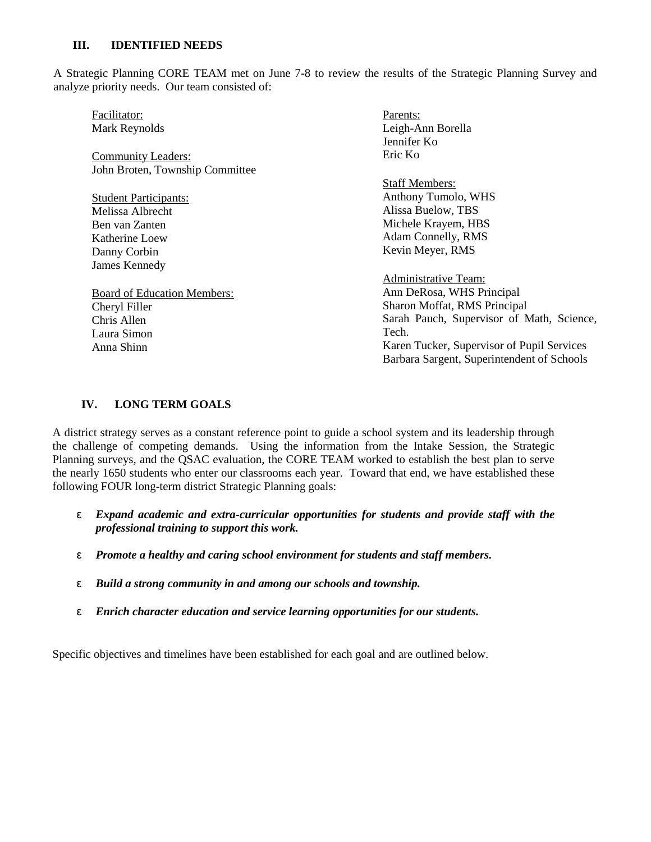#### **III. IDENTIFIED NEEDS**

A Strategic Planning CORE TEAM met on June 7-8 to review the results of the Strategic Planning Survey and analyze priority needs. Our team consisted of:

| Facilitator:                       | Parents:                                   |
|------------------------------------|--------------------------------------------|
| Mark Reynolds                      | Leigh-Ann Borella                          |
|                                    | Jennifer Ko                                |
| <b>Community Leaders:</b>          | Eric Ko                                    |
| John Broten, Township Committee    |                                            |
|                                    | <b>Staff Members:</b>                      |
| <b>Student Participants:</b>       | Anthony Tumolo, WHS                        |
| Melissa Albrecht                   | Alissa Buelow, TBS                         |
| Ben van Zanten                     | Michele Krayem, HBS                        |
| Katherine Loew                     | Adam Connelly, RMS                         |
| Danny Corbin                       | Kevin Meyer, RMS                           |
| James Kennedy                      |                                            |
|                                    | Administrative Team:                       |
| <b>Board of Education Members:</b> | Ann DeRosa, WHS Principal                  |
| Cheryl Filler                      | Sharon Moffat, RMS Principal               |
| Chris Allen                        | Sarah Pauch, Supervisor of Math, Science,  |
| Laura Simon                        | Tech.                                      |
| Anna Shinn                         | Karen Tucker, Supervisor of Pupil Services |
|                                    | Barbara Sargent, Superintendent of Schools |
|                                    |                                            |

#### **IV. LONG TERM GOALS**

A district strategy serves as a constant reference point to guide a school system and its leadership through the challenge of competing demands. Using the information from the Intake Session, the Strategic Planning surveys, and the QSAC evaluation, the CORE TEAM worked to establish the best plan to serve the nearly 1650 students who enter our classrooms each year. Toward that end, we have established these following FOUR long-term district Strategic Planning goals:

- ε *Expand academic and extra-curricular opportunities for students and provide staff with the professional training to support this work.*
- ε *Promote a healthy and caring school environment for students and staff members.*
- ε *Build a strong community in and among our schools and township.*
- ε *Enrich character education and service learning opportunities for our students.*

Specific objectives and timelines have been established for each goal and are outlined below.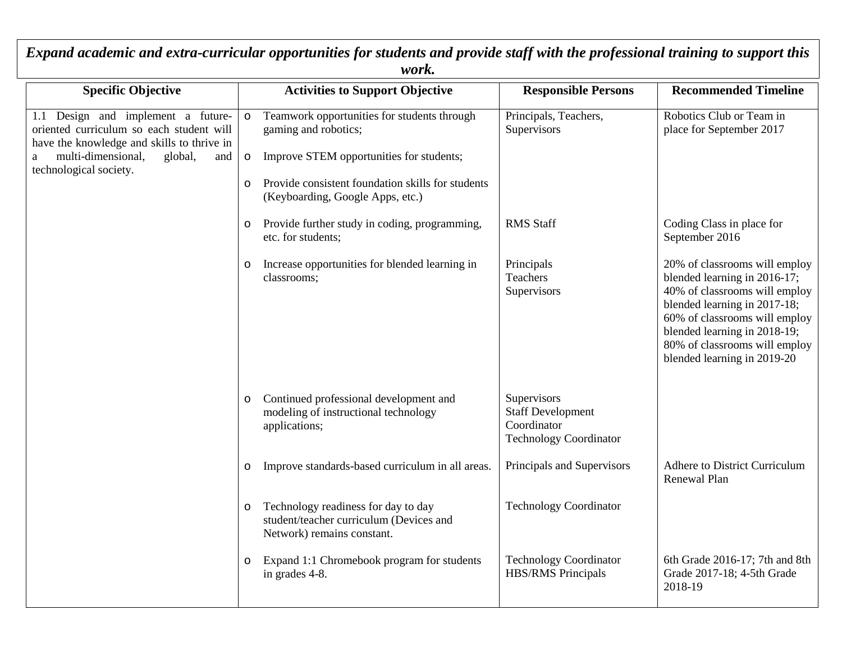| <b>Specific Objective</b>                                                                                                                                                                           | <b>Activities to Support Objective</b>                                                                                                                                                                                                                   | <b>Responsible Persons</b>                                                       | <b>Recommended Timeline</b>                                                                                                                                                                                                                                     |
|-----------------------------------------------------------------------------------------------------------------------------------------------------------------------------------------------------|----------------------------------------------------------------------------------------------------------------------------------------------------------------------------------------------------------------------------------------------------------|----------------------------------------------------------------------------------|-----------------------------------------------------------------------------------------------------------------------------------------------------------------------------------------------------------------------------------------------------------------|
| 1.1 Design and implement a future-<br>oriented curriculum so each student will<br>have the knowledge and skills to thrive in<br>multi-dimensional,<br>global,<br>and<br>a<br>technological society. | Teamwork opportunities for students through<br>$\mathsf{o}$<br>gaming and robotics;<br>Improve STEM opportunities for students;<br>$\mathsf{o}$<br>Provide consistent foundation skills for students<br>$\mathsf{o}$<br>(Keyboarding, Google Apps, etc.) | Principals, Teachers,<br>Supervisors                                             | Robotics Club or Team in<br>place for September 2017                                                                                                                                                                                                            |
|                                                                                                                                                                                                     | Provide further study in coding, programming,<br>$\mathsf{o}$<br>etc. for students;                                                                                                                                                                      | <b>RMS Staff</b>                                                                 | Coding Class in place for<br>September 2016                                                                                                                                                                                                                     |
|                                                                                                                                                                                                     | Increase opportunities for blended learning in<br>$\mathsf{o}$<br>classrooms;                                                                                                                                                                            | Principals<br>Teachers<br>Supervisors                                            | 20% of classrooms will employ<br>blended learning in 2016-17;<br>40% of classrooms will employ<br>blended learning in 2017-18;<br>60% of classrooms will employ<br>blended learning in 2018-19;<br>80% of classrooms will employ<br>blended learning in 2019-20 |
|                                                                                                                                                                                                     | Continued professional development and<br>modeling of instructional technology<br>applications;                                                                                                                                                          | Supervisors<br><b>Staff Development</b><br>Coordinator<br>Technology Coordinator |                                                                                                                                                                                                                                                                 |
|                                                                                                                                                                                                     | Improve standards-based curriculum in all areas.<br>o                                                                                                                                                                                                    | Principals and Supervisors                                                       | <b>Adhere to District Curriculum</b><br>Renewal Plan                                                                                                                                                                                                            |
|                                                                                                                                                                                                     | Technology readiness for day to day<br>student/teacher curriculum (Devices and<br>Network) remains constant.                                                                                                                                             | <b>Technology Coordinator</b>                                                    |                                                                                                                                                                                                                                                                 |
|                                                                                                                                                                                                     | Expand 1:1 Chromebook program for students<br>O<br>in grades 4-8.                                                                                                                                                                                        | <b>Technology Coordinator</b><br><b>HBS/RMS</b> Principals                       | 6th Grade 2016-17; 7th and 8th<br>Grade 2017-18; 4-5th Grade<br>2018-19                                                                                                                                                                                         |

*Expand academic and extra-curricular opportunities for students and provide staff with the professional training to support this work.*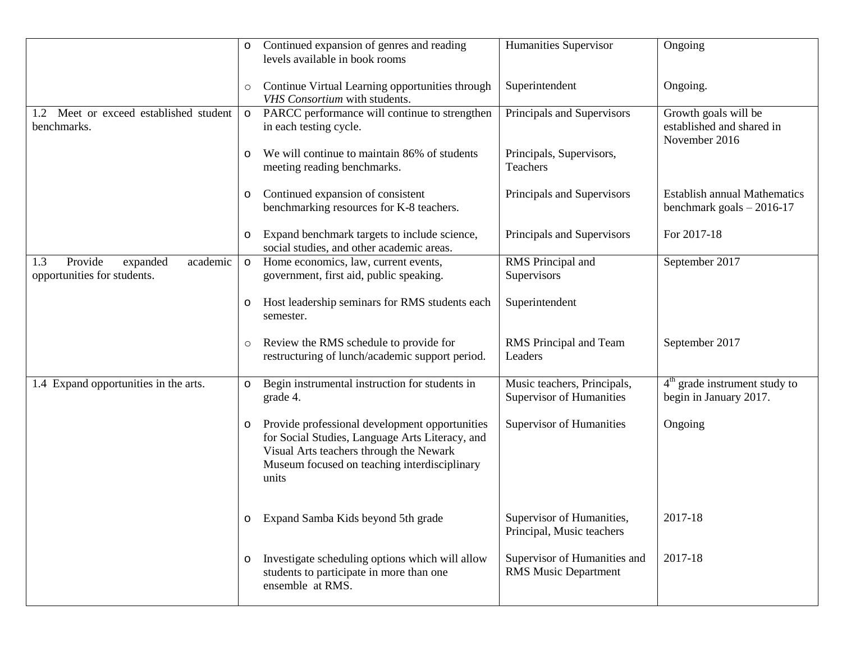|                                                                       | $\mathsf{o}$ | Continued expansion of genres and reading<br>levels available in book rooms                                                                                                                           | Humanities Supervisor                                       | Ongoing                                                            |
|-----------------------------------------------------------------------|--------------|-------------------------------------------------------------------------------------------------------------------------------------------------------------------------------------------------------|-------------------------------------------------------------|--------------------------------------------------------------------|
|                                                                       | $\circ$      | Continue Virtual Learning opportunities through<br>VHS Consortium with students.                                                                                                                      | Superintendent                                              | Ongoing.                                                           |
| 1.2 Meet or exceed established student<br>benchmarks.                 | $\mathbf{o}$ | PARCC performance will continue to strengthen<br>in each testing cycle.                                                                                                                               | Principals and Supervisors                                  | Growth goals will be<br>established and shared in<br>November 2016 |
|                                                                       | O            | We will continue to maintain 86% of students<br>meeting reading benchmarks.                                                                                                                           | Principals, Supervisors,<br>Teachers                        |                                                                    |
|                                                                       | o            | Continued expansion of consistent<br>benchmarking resources for K-8 teachers.                                                                                                                         | Principals and Supervisors                                  | <b>Establish annual Mathematics</b><br>benchmark goals $-2016-17$  |
|                                                                       | O            | Expand benchmark targets to include science,<br>social studies, and other academic areas.                                                                                                             | Principals and Supervisors                                  | For 2017-18                                                        |
| Provide<br>academic<br>expanded<br>1.3<br>opportunities for students. | $\mathsf{o}$ | Home economics, law, current events,<br>government, first aid, public speaking.                                                                                                                       | RMS Principal and<br>Supervisors                            | September 2017                                                     |
|                                                                       | O            | Host leadership seminars for RMS students each<br>semester.                                                                                                                                           | Superintendent                                              |                                                                    |
|                                                                       | $\circ$      | Review the RMS schedule to provide for<br>restructuring of lunch/academic support period.                                                                                                             | RMS Principal and Team<br>Leaders                           | September 2017                                                     |
| 1.4 Expand opportunities in the arts.                                 | $\mathsf{o}$ | Begin instrumental instruction for students in<br>grade 4.                                                                                                                                            | Music teachers, Principals,<br>Supervisor of Humanities     | $4th$ grade instrument study to<br>begin in January 2017.          |
|                                                                       | O            | Provide professional development opportunities<br>for Social Studies, Language Arts Literacy, and<br>Visual Arts teachers through the Newark<br>Museum focused on teaching interdisciplinary<br>units | Supervisor of Humanities                                    | Ongoing                                                            |
|                                                                       | O            | Expand Samba Kids beyond 5th grade                                                                                                                                                                    | Supervisor of Humanities,<br>Principal, Music teachers      | 2017-18                                                            |
|                                                                       | O            | Investigate scheduling options which will allow<br>students to participate in more than one<br>ensemble at RMS.                                                                                       | Supervisor of Humanities and<br><b>RMS Music Department</b> | 2017-18                                                            |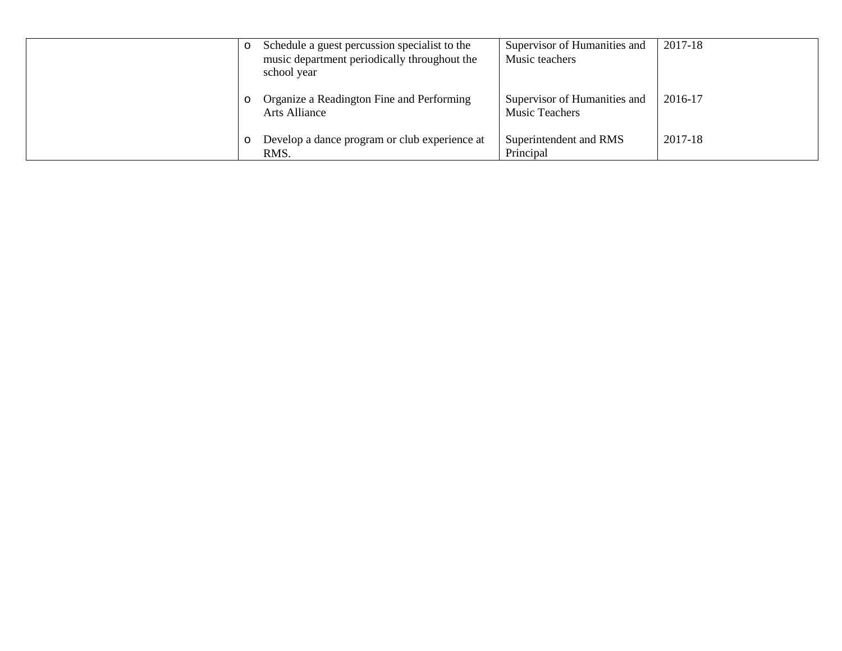| $\circ$  | Schedule a guest percussion specialist to the<br>music department periodically throughout the<br>school year | Supervisor of Humanities and<br>Music teachers        | 2017-18 |
|----------|--------------------------------------------------------------------------------------------------------------|-------------------------------------------------------|---------|
| $\circ$  | Organize a Readington Fine and Performing<br>Arts Alliance                                                   | Supervisor of Humanities and<br><b>Music Teachers</b> | 2016-17 |
| $\Omega$ | Develop a dance program or club experience at<br>RMS.                                                        | Superintendent and RMS<br>Principal                   | 2017-18 |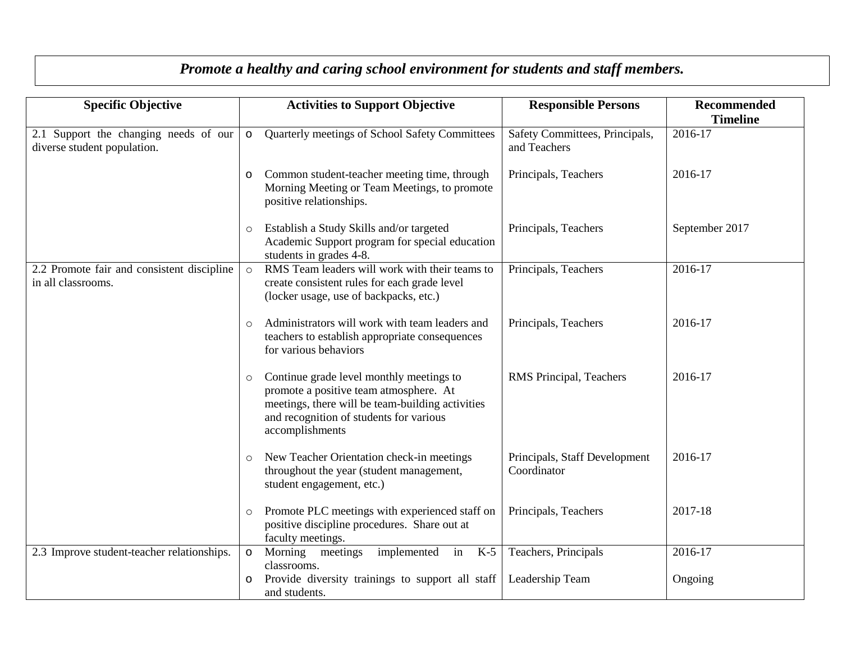| <b>Specific Objective</b>                                            |              | <b>Activities to Support Objective</b>                                                                                                                                                               | <b>Responsible Persons</b>                     | <b>Recommended</b><br><b>Timeline</b> |
|----------------------------------------------------------------------|--------------|------------------------------------------------------------------------------------------------------------------------------------------------------------------------------------------------------|------------------------------------------------|---------------------------------------|
| 2.1 Support the changing needs of our<br>diverse student population. | $\mathsf{o}$ | Quarterly meetings of School Safety Committees                                                                                                                                                       | Safety Committees, Principals,<br>and Teachers | 2016-17                               |
|                                                                      | O            | Common student-teacher meeting time, through<br>Morning Meeting or Team Meetings, to promote<br>positive relationships.                                                                              | Principals, Teachers                           | 2016-17                               |
|                                                                      | $\circ$      | Establish a Study Skills and/or targeted<br>Academic Support program for special education<br>students in grades 4-8.                                                                                | Principals, Teachers                           | September 2017                        |
| 2.2 Promote fair and consistent discipline<br>in all classrooms.     | $\circ$      | RMS Team leaders will work with their teams to<br>create consistent rules for each grade level<br>(locker usage, use of backpacks, etc.)                                                             | Principals, Teachers                           | 2016-17                               |
|                                                                      | $\circ$      | Administrators will work with team leaders and<br>teachers to establish appropriate consequences<br>for various behaviors                                                                            | Principals, Teachers                           | 2016-17                               |
|                                                                      | $\circ$      | Continue grade level monthly meetings to<br>promote a positive team atmosphere. At<br>meetings, there will be team-building activities<br>and recognition of students for various<br>accomplishments | RMS Principal, Teachers                        | 2016-17                               |
|                                                                      | $\circ$      | New Teacher Orientation check-in meetings<br>throughout the year (student management,<br>student engagement, etc.)                                                                                   | Principals, Staff Development<br>Coordinator   | 2016-17                               |
|                                                                      | $\circ$      | Promote PLC meetings with experienced staff on<br>positive discipline procedures. Share out at<br>faculty meetings.                                                                                  | Principals, Teachers                           | 2017-18                               |
| 2.3 Improve student-teacher relationships.                           | $\mathsf{o}$ | Morning meetings<br>implemented in<br>$K-5$<br>classrooms.                                                                                                                                           | Teachers, Principals                           | 2016-17                               |
|                                                                      |              | Provide diversity trainings to support all staff<br>and students.                                                                                                                                    | Leadership Team                                | Ongoing                               |

# *Promote a healthy and caring school environment for students and staff members.*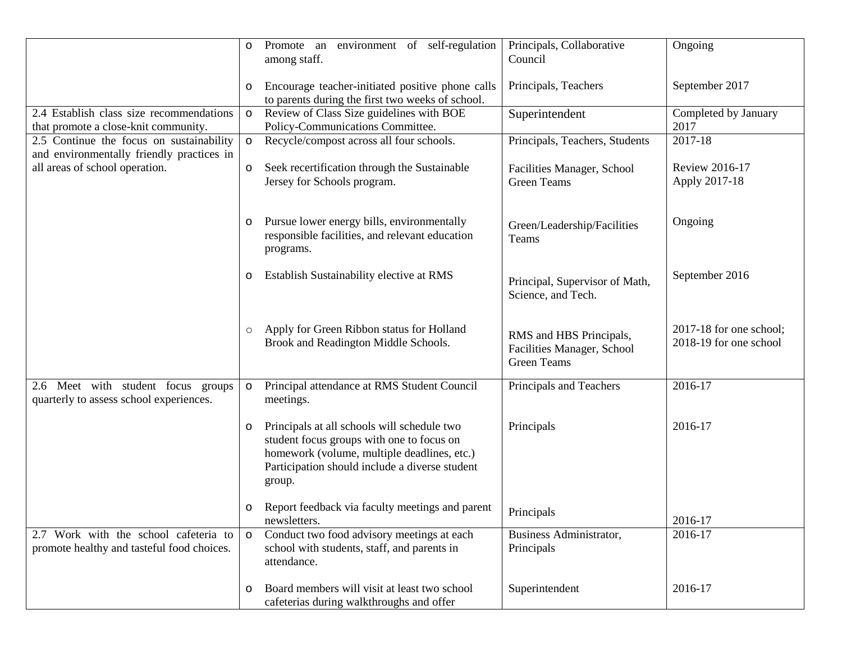|                                                                                       | 0            | Promote an environment of self-regulation<br>among staff.                                                                                                                                           | Principals, Collaborative<br>Council                                        | Ongoing                                           |
|---------------------------------------------------------------------------------------|--------------|-----------------------------------------------------------------------------------------------------------------------------------------------------------------------------------------------------|-----------------------------------------------------------------------------|---------------------------------------------------|
|                                                                                       | o            | Encourage teacher-initiated positive phone calls<br>to parents during the first two weeks of school.                                                                                                | Principals, Teachers                                                        | September 2017                                    |
| 2.4 Establish class size recommendations<br>that promote a close-knit community.      | $\mathsf{o}$ | Review of Class Size guidelines with BOE<br>Policy-Communications Committee.                                                                                                                        | Superintendent                                                              | Completed by January<br>2017                      |
| 2.5 Continue the focus on sustainability<br>and environmentally friendly practices in | o            | Recycle/compost across all four schools.                                                                                                                                                            | Principals, Teachers, Students                                              | 2017-18                                           |
| all areas of school operation.                                                        | o            | Seek recertification through the Sustainable<br>Jersey for Schools program.                                                                                                                         | Facilities Manager, School<br><b>Green Teams</b>                            | <b>Review 2016-17</b><br>Apply 2017-18            |
|                                                                                       | O            | Pursue lower energy bills, environmentally<br>responsible facilities, and relevant education<br>programs.                                                                                           | Green/Leadership/Facilities<br>Teams                                        | Ongoing                                           |
|                                                                                       | o            | Establish Sustainability elective at RMS                                                                                                                                                            | Principal, Supervisor of Math,<br>Science, and Tech.                        | September 2016                                    |
|                                                                                       | $\circ$      | Apply for Green Ribbon status for Holland<br>Brook and Readington Middle Schools.                                                                                                                   | RMS and HBS Principals,<br>Facilities Manager, School<br><b>Green Teams</b> | 2017-18 for one school;<br>2018-19 for one school |
| 2.6 Meet with student focus groups<br>quarterly to assess school experiences.         | $\circ$      | Principal attendance at RMS Student Council<br>meetings.                                                                                                                                            | Principals and Teachers                                                     | 2016-17                                           |
|                                                                                       | o            | Principals at all schools will schedule two<br>student focus groups with one to focus on<br>homework (volume, multiple deadlines, etc.)<br>Participation should include a diverse student<br>group. | Principals                                                                  | 2016-17                                           |
|                                                                                       | o            | Report feedback via faculty meetings and parent<br>newsletters.                                                                                                                                     | Principals                                                                  | 2016-17                                           |
| 2.7 Work with the school cafeteria to<br>promote healthy and tasteful food choices.   | $\circ$      | Conduct two food advisory meetings at each<br>school with students, staff, and parents in<br>attendance.                                                                                            | Business Administrator,<br>Principals                                       | 2016-17                                           |
|                                                                                       | O            | Board members will visit at least two school<br>cafeterias during walkthroughs and offer                                                                                                            | Superintendent                                                              | 2016-17                                           |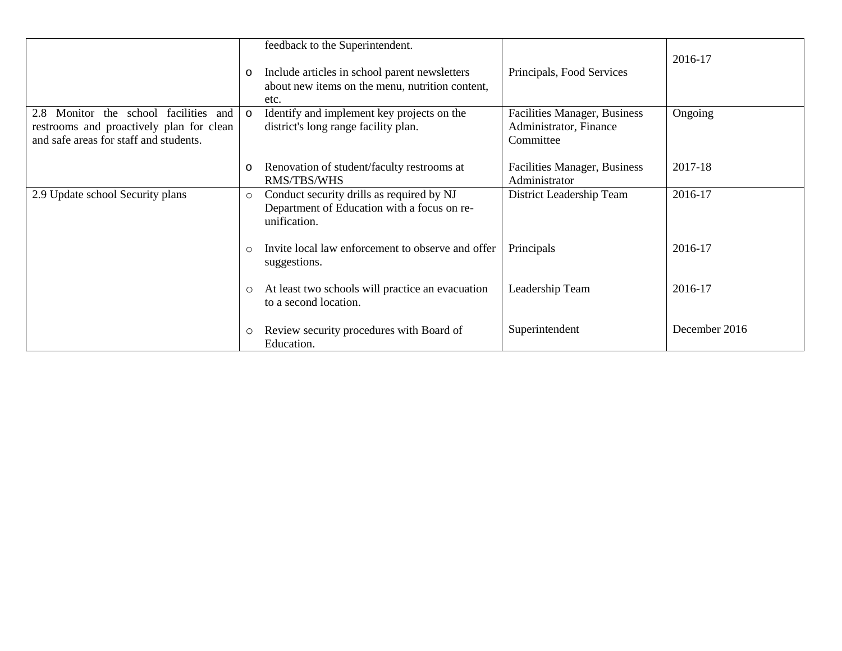|                                                                                                                                | o        | feedback to the Superintendent.<br>Include articles in school parent newsletters<br>about new items on the menu, nutrition content,<br>etc. | Principals, Food Services                                           | 2016-17       |
|--------------------------------------------------------------------------------------------------------------------------------|----------|---------------------------------------------------------------------------------------------------------------------------------------------|---------------------------------------------------------------------|---------------|
| Monitor the school facilities and<br>2.8<br>restrooms and proactively plan for clean<br>and safe areas for staff and students. | $\Omega$ | Identify and implement key projects on the<br>district's long range facility plan.                                                          | Facilities Manager, Business<br>Administrator, Finance<br>Committee | Ongoing       |
|                                                                                                                                | о        | Renovation of student/faculty restrooms at<br>RMS/TBS/WHS                                                                                   | Facilities Manager, Business<br>Administrator                       | 2017-18       |
| 2.9 Update school Security plans                                                                                               | $\circ$  | Conduct security drills as required by NJ<br>Department of Education with a focus on re-<br>unification.                                    | District Leadership Team                                            | 2016-17       |
|                                                                                                                                | $\circ$  | Invite local law enforcement to observe and offer<br>suggestions.                                                                           | Principals                                                          | 2016-17       |
|                                                                                                                                | O        | At least two schools will practice an evacuation<br>to a second location.                                                                   | Leadership Team                                                     | 2016-17       |
|                                                                                                                                | $\circ$  | Review security procedures with Board of<br>Education.                                                                                      | Superintendent                                                      | December 2016 |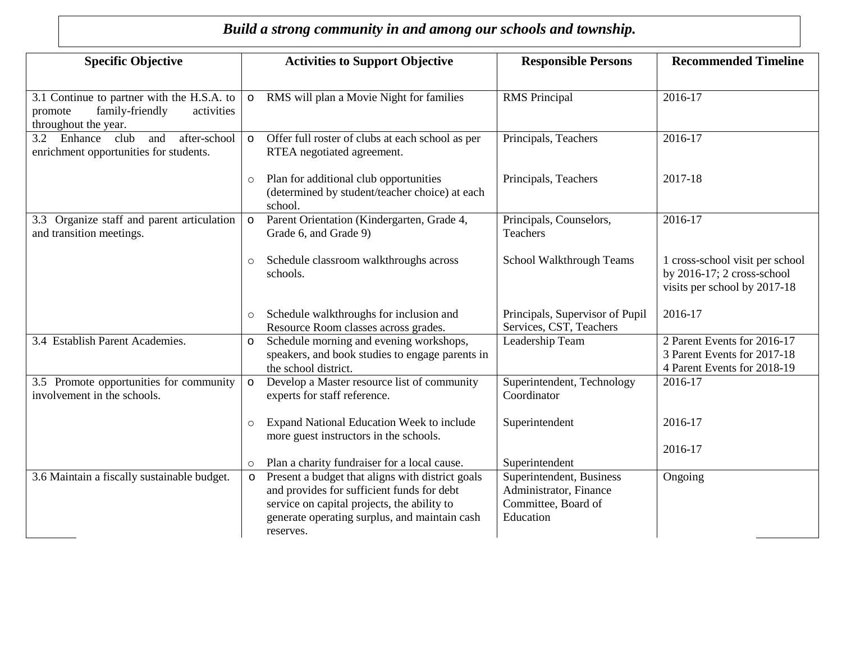## *Build a strong community in and among our schools and township.*

| <b>Specific Objective</b>                                                                                      | <b>Activities to Support Objective</b>                                                                                                                                                                                   | <b>Recommended Timeline</b><br><b>Responsible Persons</b>                                                                    |
|----------------------------------------------------------------------------------------------------------------|--------------------------------------------------------------------------------------------------------------------------------------------------------------------------------------------------------------------------|------------------------------------------------------------------------------------------------------------------------------|
| 3.1 Continue to partner with the H.S.A. to<br>family-friendly<br>activities<br>promote<br>throughout the year. | RMS will plan a Movie Night for families<br><b>RMS</b> Principal                                                                                                                                                         | 2016-17                                                                                                                      |
| 3.2 Enhance club<br>after-school<br>and<br>enrichment opportunities for students.                              | Offer full roster of clubs at each school as per<br>RTEA negotiated agreement.                                                                                                                                           | Principals, Teachers<br>2016-17                                                                                              |
|                                                                                                                | Plan for additional club opportunities<br>(determined by student/teacher choice) at each<br>school.                                                                                                                      | 2017-18<br>Principals, Teachers                                                                                              |
| Organize staff and parent articulation<br>3.3<br>and transition meetings.                                      | Parent Orientation (Kindergarten, Grade 4,<br>Teachers<br>Grade 6, and Grade 9)                                                                                                                                          | Principals, Counselors,<br>2016-17                                                                                           |
|                                                                                                                | Schedule classroom walkthroughs across<br>schools.                                                                                                                                                                       | School Walkthrough Teams<br>1 cross-school visit per school<br>by $2016-17$ ; 2 cross-school<br>visits per school by 2017-18 |
|                                                                                                                | Schedule walkthroughs for inclusion and<br>Resource Room classes across grades.                                                                                                                                          | Principals, Supervisor of Pupil<br>2016-17<br>Services, CST, Teachers                                                        |
| 3.4 Establish Parent Academies.                                                                                | Schedule morning and evening workshops,<br>speakers, and book studies to engage parents in<br>the school district.                                                                                                       | Leadership Team<br>2 Parent Events for 2016-17<br>3 Parent Events for 2017-18<br>4 Parent Events for 2018-19                 |
| 3.5 Promote opportunities for community<br>involvement in the schools.                                         | Develop a Master resource list of community<br>Coordinator<br>experts for staff reference.                                                                                                                               | Superintendent, Technology<br>2016-17                                                                                        |
|                                                                                                                | Expand National Education Week to include<br>Superintendent<br>more guest instructors in the schools.                                                                                                                    | 2016-17                                                                                                                      |
|                                                                                                                | Plan a charity fundraiser for a local cause.<br>Superintendent                                                                                                                                                           | 2016-17                                                                                                                      |
| 3.6 Maintain a fiscally sustainable budget.                                                                    | Present a budget that aligns with district goals<br>and provides for sufficient funds for debt<br>service on capital projects, the ability to<br>generate operating surplus, and maintain cash<br>Education<br>reserves. | Superintendent, Business<br>Ongoing<br>Administrator, Finance<br>Committee, Board of                                         |